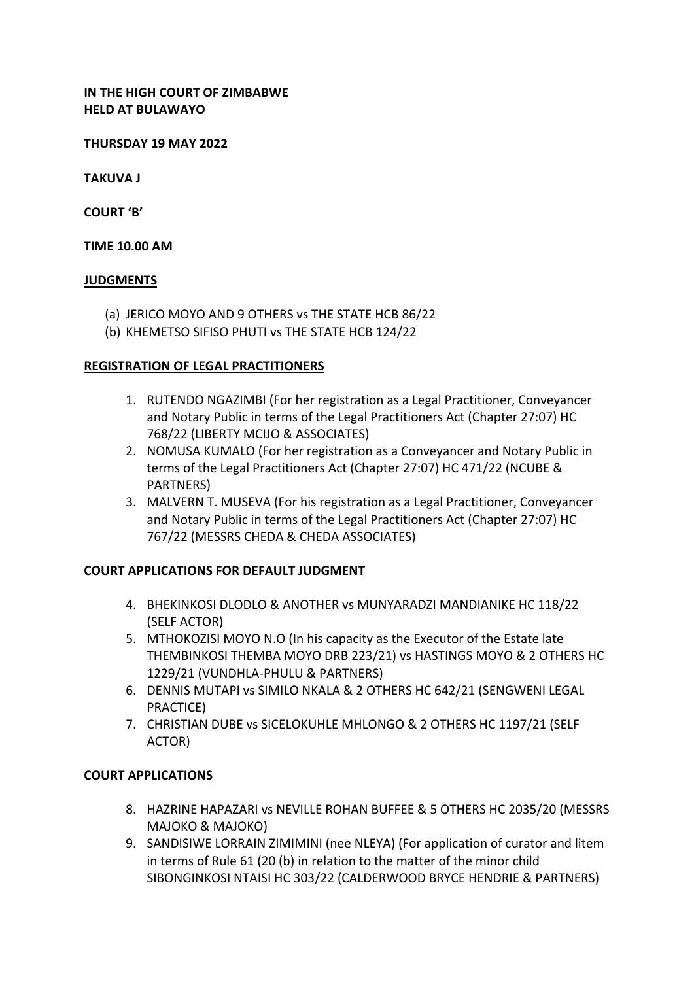## **IN THE HIGH COURT OF ZIMBABWE HELD AT BULAWAYO**

**THURSDAY 19 MAY 2022**

**TAKUVA J**

**COURT 'B'**

#### **TIME 10.00 AM**

#### **JUDGMENTS**

- (a) JERICO MOYO AND 9 OTHERS vs THE STATE HCB 86/22
- (b) KHEMETSO SIFISO PHUTI vs THE STATE HCB 124/22

#### **REGISTRATION OF LEGAL PRACTITIONERS**

- 1. RUTENDO NGAZIMBI (For her registration as a Legal Practitioner, Conveyancer and Notary Public in terms of the Legal Practitioners Act (Chapter 27:07) HC 768/22 (LIBERTY MCIJO & ASSOCIATES)
- 2. NOMUSA KUMALO (For her registration as a Conveyancer and Notary Public in terms of the Legal Practitioners Act (Chapter 27:07) HC 471/22 (NCUBE & PARTNERS)
- 3. MALVERN T. MUSEVA (For his registration as a Legal Practitioner, Conveyancer and Notary Public in terms of the Legal Practitioners Act (Chapter 27:07) HC 767/22 (MESSRS CHEDA & CHEDA ASSOCIATES)

## **COURT APPLICATIONS FOR DEFAULT JUDGMENT**

- 4. BHEKINKOSI DLODLO & ANOTHER vs MUNYARADZI MANDIANIKE HC 118/22 (SELF ACTOR)
- 5. MTHOKOZISI MOYO N.O (In his capacity as the Executor of the Estate late THEMBINKOSI THEMBA MOYO DRB 223/21) vs HASTINGS MOYO & 2 OTHERS HC 1229/21 (VUNDHLA-PHULU & PARTNERS)
- 6. DENNIS MUTAPI vs SIMILO NKALA & 2 OTHERS HC 642/21 (SENGWENI LEGAL PRACTICE)
- 7. CHRISTIAN DUBE vs SICELOKUHLE MHLONGO & 2 OTHERS HC 1197/21 (SELF ACTOR)

## **COURT APPLICATIONS**

- 8. HAZRINE HAPAZARI vs NEVILLE ROHAN BUFFEE & 5 OTHERS HC 2035/20 (MESSRS MAJOKO & MAJOKO)
- 9. SANDISIWE LORRAIN ZIMIMINI (nee NLEYA) (For application of curator and litem in terms of Rule 61 (20 (b) in relation to the matter of the minor child SIBONGINKOSI NTAISI HC 303/22 (CALDERWOOD BRYCE HENDRIE & PARTNERS)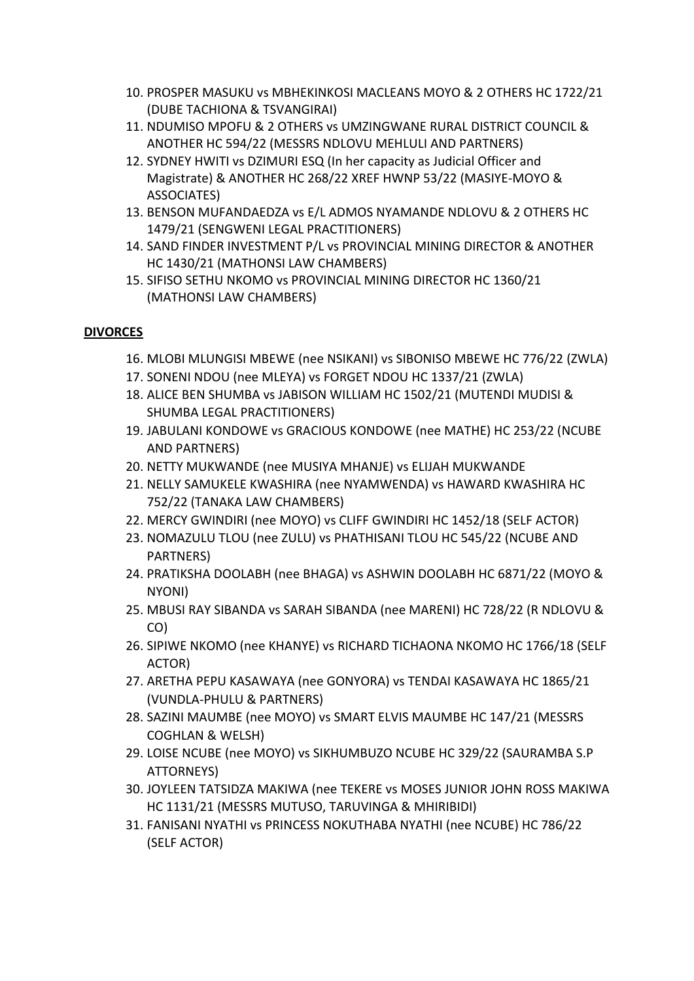- 10. PROSPER MASUKU vs MBHEKINKOSI MACLEANS MOYO & 2 OTHERS HC 1722/21 (DUBE TACHIONA & TSVANGIRAI)
- 11. NDUMISO MPOFU & 2 OTHERS vs UMZINGWANE RURAL DISTRICT COUNCIL & ANOTHER HC 594/22 (MESSRS NDLOVU MEHLULI AND PARTNERS)
- 12. SYDNEY HWITI vs DZIMURI ESQ (In her capacity as Judicial Officer and Magistrate) & ANOTHER HC 268/22 XREF HWNP 53/22 (MASIYE-MOYO & ASSOCIATES)
- 13. BENSON MUFANDAEDZA vs E/L ADMOS NYAMANDE NDLOVU & 2 OTHERS HC 1479/21 (SENGWENI LEGAL PRACTITIONERS)
- 14. SAND FINDER INVESTMENT P/L vs PROVINCIAL MINING DIRECTOR & ANOTHER HC 1430/21 (MATHONSI LAW CHAMBERS)
- 15. SIFISO SETHU NKOMO vs PROVINCIAL MINING DIRECTOR HC 1360/21 (MATHONSI LAW CHAMBERS)

# **DIVORCES**

- 16. MLOBI MLUNGISI MBEWE (nee NSIKANI) vs SIBONISO MBEWE HC 776/22 (ZWLA)
- 17. SONENI NDOU (nee MLEYA) vs FORGET NDOU HC 1337/21 (ZWLA)
- 18. ALICE BEN SHUMBA vs JABISON WILLIAM HC 1502/21 (MUTENDI MUDISI & SHUMBA LEGAL PRACTITIONERS)
- 19. JABULANI KONDOWE vs GRACIOUS KONDOWE (nee MATHE) HC 253/22 (NCUBE AND PARTNERS)
- 20. NETTY MUKWANDE (nee MUSIYA MHANJE) vs ELIJAH MUKWANDE
- 21. NELLY SAMUKELE KWASHIRA (nee NYAMWENDA) vs HAWARD KWASHIRA HC 752/22 (TANAKA LAW CHAMBERS)
- 22. MERCY GWINDIRI (nee MOYO) vs CLIFF GWINDIRI HC 1452/18 (SELF ACTOR)
- 23. NOMAZULU TLOU (nee ZULU) vs PHATHISANI TLOU HC 545/22 (NCUBE AND PARTNERS)
- 24. PRATIKSHA DOOLABH (nee BHAGA) vs ASHWIN DOOLABH HC 6871/22 (MOYO & NYONI)
- 25. MBUSI RAY SIBANDA vs SARAH SIBANDA (nee MARENI) HC 728/22 (R NDLOVU & CO)
- 26. SIPIWE NKOMO (nee KHANYE) vs RICHARD TICHAONA NKOMO HC 1766/18 (SELF ACTOR)
- 27. ARETHA PEPU KASAWAYA (nee GONYORA) vs TENDAI KASAWAYA HC 1865/21 (VUNDLA-PHULU & PARTNERS)
- 28. SAZINI MAUMBE (nee MOYO) vs SMART ELVIS MAUMBE HC 147/21 (MESSRS COGHLAN & WELSH)
- 29. LOISE NCUBE (nee MOYO) vs SIKHUMBUZO NCUBE HC 329/22 (SAURAMBA S.P ATTORNEYS)
- 30. JOYLEEN TATSIDZA MAKIWA (nee TEKERE vs MOSES JUNIOR JOHN ROSS MAKIWA HC 1131/21 (MESSRS MUTUSO, TARUVINGA & MHIRIBIDI)
- 31. FANISANI NYATHI vs PRINCESS NOKUTHABA NYATHI (nee NCUBE) HC 786/22 (SELF ACTOR)